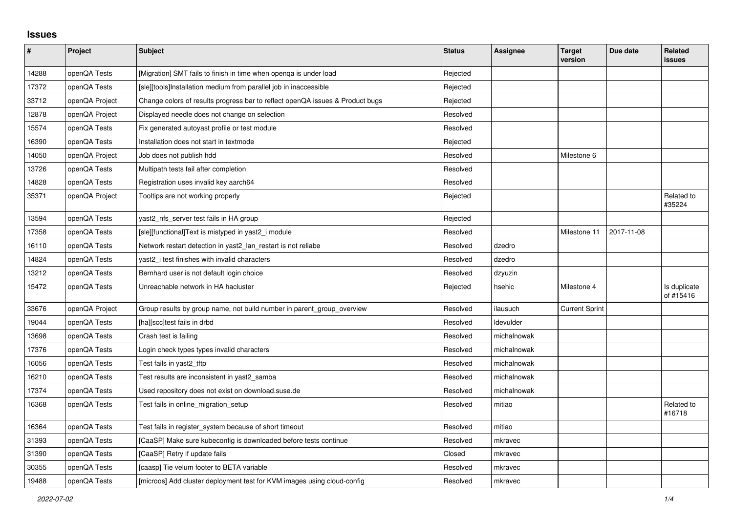## **Issues**

| $\sharp$ | Project        | <b>Subject</b>                                                                | <b>Status</b> | <b>Assignee</b> | <b>Target</b><br>version | Due date   | Related<br><b>issues</b>  |
|----------|----------------|-------------------------------------------------------------------------------|---------------|-----------------|--------------------------|------------|---------------------------|
| 14288    | openQA Tests   | [Migration] SMT fails to finish in time when openga is under load             | Rejected      |                 |                          |            |                           |
| 17372    | openQA Tests   | [sle][tools]Installation medium from parallel job in inaccessible             | Rejected      |                 |                          |            |                           |
| 33712    | openQA Project | Change colors of results progress bar to reflect openQA issues & Product bugs | Rejected      |                 |                          |            |                           |
| 12878    | openQA Project | Displayed needle does not change on selection                                 | Resolved      |                 |                          |            |                           |
| 15574    | openQA Tests   | Fix generated autoyast profile or test module                                 | Resolved      |                 |                          |            |                           |
| 16390    | openQA Tests   | Installation does not start in textmode                                       | Rejected      |                 |                          |            |                           |
| 14050    | openQA Project | Job does not publish hdd                                                      | Resolved      |                 | Milestone 6              |            |                           |
| 13726    | openQA Tests   | Multipath tests fail after completion                                         | Resolved      |                 |                          |            |                           |
| 14828    | openQA Tests   | Registration uses invalid key aarch64                                         | Resolved      |                 |                          |            |                           |
| 35371    | openQA Project | Tooltips are not working properly                                             | Rejected      |                 |                          |            | Related to<br>#35224      |
| 13594    | openQA Tests   | yast2 nfs server test fails in HA group                                       | Rejected      |                 |                          |            |                           |
| 17358    | openQA Tests   | [sle][functional]Text is mistyped in yast2_i module                           | Resolved      |                 | Milestone 11             | 2017-11-08 |                           |
| 16110    | openQA Tests   | Network restart detection in yast2_lan_restart is not reliabe                 | Resolved      | dzedro          |                          |            |                           |
| 14824    | openQA Tests   | yast2 i test finishes with invalid characters                                 | Resolved      | dzedro          |                          |            |                           |
| 13212    | openQA Tests   | Bernhard user is not default login choice                                     | Resolved      | dzyuzin         |                          |            |                           |
| 15472    | openQA Tests   | Unreachable network in HA hacluster                                           | Rejected      | hsehic          | Milestone 4              |            | Is duplicate<br>of #15416 |
| 33676    | openQA Project | Group results by group name, not build number in parent_group_overview        | Resolved      | ilausuch        | <b>Current Sprint</b>    |            |                           |
| 19044    | openQA Tests   | [ha][scc]test fails in drbd                                                   | Resolved      | ldevulder       |                          |            |                           |
| 13698    | openQA Tests   | Crash test is failing                                                         | Resolved      | michalnowak     |                          |            |                           |
| 17376    | openQA Tests   | Login check types types invalid characters                                    | Resolved      | michalnowak     |                          |            |                           |
| 16056    | openQA Tests   | Test fails in yast2_tftp                                                      | Resolved      | michalnowak     |                          |            |                           |
| 16210    | openQA Tests   | Test results are inconsistent in yast2 samba                                  | Resolved      | michalnowak     |                          |            |                           |
| 17374    | openQA Tests   | Used repository does not exist on download.suse.de                            | Resolved      | michalnowak     |                          |            |                           |
| 16368    | openQA Tests   | Test fails in online_migration_setup                                          | Resolved      | mitiao          |                          |            | Related to<br>#16718      |
| 16364    | openQA Tests   | Test fails in register_system because of short timeout                        | Resolved      | mitiao          |                          |            |                           |
| 31393    | openQA Tests   | [CaaSP] Make sure kubeconfig is downloaded before tests continue              | Resolved      | mkravec         |                          |            |                           |
| 31390    | openQA Tests   | [CaaSP] Retry if update fails                                                 | Closed        | mkravec         |                          |            |                           |
| 30355    | openQA Tests   | [caasp] Tie velum footer to BETA variable                                     | Resolved      | mkravec         |                          |            |                           |
| 19488    | openQA Tests   | [microos] Add cluster deployment test for KVM images using cloud-config       | Resolved      | mkravec         |                          |            |                           |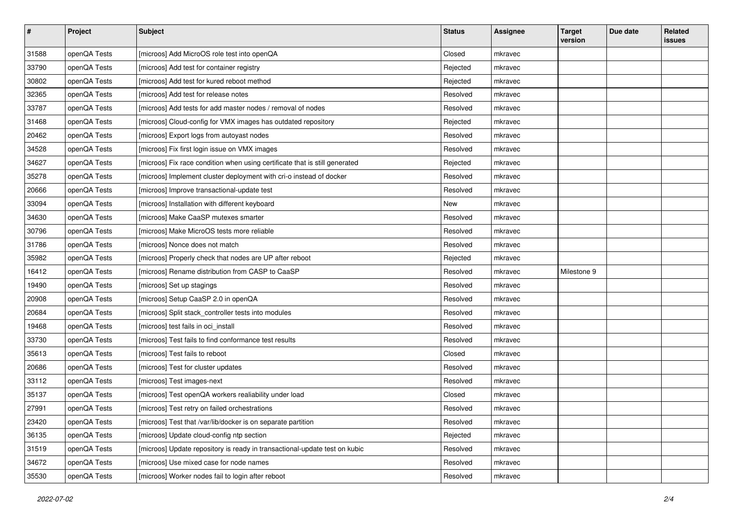| $\sharp$ | Project      | <b>Subject</b>                                                              | <b>Status</b> | <b>Assignee</b> | <b>Target</b><br>version | Due date | Related<br><b>issues</b> |
|----------|--------------|-----------------------------------------------------------------------------|---------------|-----------------|--------------------------|----------|--------------------------|
| 31588    | openQA Tests | [microos] Add MicroOS role test into openQA                                 | Closed        | mkravec         |                          |          |                          |
| 33790    | openQA Tests | [microos] Add test for container registry                                   | Rejected      | mkravec         |                          |          |                          |
| 30802    | openQA Tests | [microos] Add test for kured reboot method                                  | Rejected      | mkravec         |                          |          |                          |
| 32365    | openQA Tests | [microos] Add test for release notes                                        | Resolved      | mkravec         |                          |          |                          |
| 33787    | openQA Tests | [microos] Add tests for add master nodes / removal of nodes                 | Resolved      | mkravec         |                          |          |                          |
| 31468    | openQA Tests | [microos] Cloud-config for VMX images has outdated repository               | Rejected      | mkravec         |                          |          |                          |
| 20462    | openQA Tests | [microos] Export logs from autoyast nodes                                   | Resolved      | mkravec         |                          |          |                          |
| 34528    | openQA Tests | [microos] Fix first login issue on VMX images                               | Resolved      | mkravec         |                          |          |                          |
| 34627    | openQA Tests | [microos] Fix race condition when using certificate that is still generated | Rejected      | mkravec         |                          |          |                          |
| 35278    | openQA Tests | [microos] Implement cluster deployment with cri-o instead of docker         | Resolved      | mkravec         |                          |          |                          |
| 20666    | openQA Tests | [microos] Improve transactional-update test                                 | Resolved      | mkravec         |                          |          |                          |
| 33094    | openQA Tests | [microos] Installation with different keyboard                              | New           | mkravec         |                          |          |                          |
| 34630    | openQA Tests | [microos] Make CaaSP mutexes smarter                                        | Resolved      | mkravec         |                          |          |                          |
| 30796    | openQA Tests | [microos] Make MicroOS tests more reliable                                  | Resolved      | mkravec         |                          |          |                          |
| 31786    | openQA Tests | [microos] Nonce does not match                                              | Resolved      | mkravec         |                          |          |                          |
| 35982    | openQA Tests | [microos] Properly check that nodes are UP after reboot                     | Rejected      | mkravec         |                          |          |                          |
| 16412    | openQA Tests | [microos] Rename distribution from CASP to CaaSP                            | Resolved      | mkravec         | Milestone 9              |          |                          |
| 19490    | openQA Tests | [microos] Set up stagings                                                   | Resolved      | mkravec         |                          |          |                          |
| 20908    | openQA Tests | [microos] Setup CaaSP 2.0 in openQA                                         | Resolved      | mkravec         |                          |          |                          |
| 20684    | openQA Tests | [microos] Split stack_controller tests into modules                         | Resolved      | mkravec         |                          |          |                          |
| 19468    | openQA Tests | [microos] test fails in oci_install                                         | Resolved      | mkravec         |                          |          |                          |
| 33730    | openQA Tests | [microos] Test fails to find conformance test results                       | Resolved      | mkravec         |                          |          |                          |
| 35613    | openQA Tests | [microos] Test fails to reboot                                              | Closed        | mkravec         |                          |          |                          |
| 20686    | openQA Tests | [microos] Test for cluster updates                                          | Resolved      | mkravec         |                          |          |                          |
| 33112    | openQA Tests | [microos] Test images-next                                                  | Resolved      | mkravec         |                          |          |                          |
| 35137    | openQA Tests | [microos] Test openQA workers realiability under load                       | Closed        | mkravec         |                          |          |                          |
| 27991    | openQA Tests | [microos] Test retry on failed orchestrations                               | Resolved      | mkravec         |                          |          |                          |
| 23420    | openQA Tests | [microos] Test that /var/lib/docker is on separate partition                | Resolved      | mkravec         |                          |          |                          |
| 36135    | openQA Tests | [microos] Update cloud-config ntp section                                   | Rejected      | mkravec         |                          |          |                          |
| 31519    | openQA Tests | [microos] Update repository is ready in transactional-update test on kubic  | Resolved      | mkravec         |                          |          |                          |
| 34672    | openQA Tests | [microos] Use mixed case for node names                                     | Resolved      | mkravec         |                          |          |                          |
| 35530    | openQA Tests | [microos] Worker nodes fail to login after reboot                           | Resolved      | mkravec         |                          |          |                          |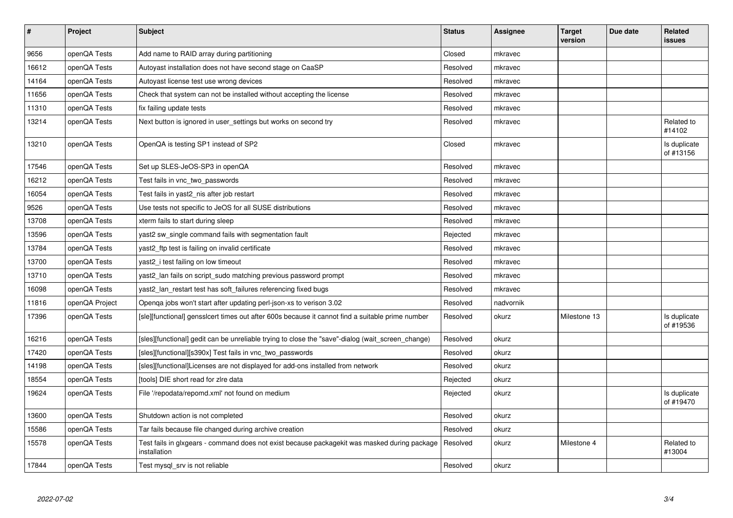| $\sharp$ | Project        | <b>Subject</b>                                                                                               | <b>Status</b> | <b>Assignee</b> | <b>Target</b><br>version | Due date | Related<br>issues         |
|----------|----------------|--------------------------------------------------------------------------------------------------------------|---------------|-----------------|--------------------------|----------|---------------------------|
| 9656     | openQA Tests   | Add name to RAID array during partitioning                                                                   | Closed        | mkravec         |                          |          |                           |
| 16612    | openQA Tests   | Autoyast installation does not have second stage on CaaSP                                                    | Resolved      | mkravec         |                          |          |                           |
| 14164    | openQA Tests   | Autoyast license test use wrong devices                                                                      | Resolved      | mkravec         |                          |          |                           |
| 11656    | openQA Tests   | Check that system can not be installed without accepting the license                                         | Resolved      | mkravec         |                          |          |                           |
| 11310    | openQA Tests   | fix failing update tests                                                                                     | Resolved      | mkravec         |                          |          |                           |
| 13214    | openQA Tests   | Next button is ignored in user settings but works on second try                                              | Resolved      | mkravec         |                          |          | Related to<br>#14102      |
| 13210    | openQA Tests   | OpenQA is testing SP1 instead of SP2                                                                         | Closed        | mkravec         |                          |          | Is duplicate<br>of #13156 |
| 17546    | openQA Tests   | Set up SLES-JeOS-SP3 in openQA                                                                               | Resolved      | mkravec         |                          |          |                           |
| 16212    | openQA Tests   | Test fails in vnc two passwords                                                                              | Resolved      | mkravec         |                          |          |                           |
| 16054    | openQA Tests   | Test fails in yast2 nis after job restart                                                                    | Resolved      | mkravec         |                          |          |                           |
| 9526     | openQA Tests   | Use tests not specific to JeOS for all SUSE distributions                                                    | Resolved      | mkravec         |                          |          |                           |
| 13708    | openQA Tests   | xterm fails to start during sleep                                                                            | Resolved      | mkravec         |                          |          |                           |
| 13596    | openQA Tests   | yast2 sw single command fails with segmentation fault                                                        | Rejected      | mkravec         |                          |          |                           |
| 13784    | openQA Tests   | yast2_ftp test is failing on invalid certificate                                                             | Resolved      | mkravec         |                          |          |                           |
| 13700    | openQA Tests   | yast2_i test failing on low timeout                                                                          | Resolved      | mkravec         |                          |          |                           |
| 13710    | openQA Tests   | yast2 lan fails on script sudo matching previous password prompt                                             | Resolved      | mkravec         |                          |          |                           |
| 16098    | openQA Tests   | yast2_lan_restart test has soft_failures referencing fixed bugs                                              | Resolved      | mkravec         |                          |          |                           |
| 11816    | openQA Project | Openqa jobs won't start after updating perl-json-xs to verison 3.02                                          | Resolved      | nadvornik       |                          |          |                           |
| 17396    | openQA Tests   | [sle][functional] gensslcert times out after 600s because it cannot find a suitable prime number             | Resolved      | okurz           | Milestone 13             |          | Is duplicate<br>of #19536 |
| 16216    | openQA Tests   | [sles][functional] gedit can be unreliable trying to close the "save"-dialog (wait_screen_change)            | Resolved      | okurz           |                          |          |                           |
| 17420    | openQA Tests   | [sles][functional][s390x] Test fails in vnc two passwords                                                    | Resolved      | okurz           |                          |          |                           |
| 14198    | openQA Tests   | [sles][functional]Licenses are not displayed for add-ons installed from network                              | Resolved      | okurz           |                          |          |                           |
| 18554    | openQA Tests   | [tools] DIE short read for zire data                                                                         | Rejected      | okurz           |                          |          |                           |
| 19624    | openQA Tests   | File '/repodata/repomd.xml' not found on medium                                                              | Rejected      | okurz           |                          |          | Is duplicate<br>of #19470 |
| 13600    | openQA Tests   | Shutdown action is not completed                                                                             | Resolved      | okurz           |                          |          |                           |
| 15586    | openQA Tests   | Tar fails because file changed during archive creation                                                       | Resolved      | okurz           |                          |          |                           |
| 15578    | openQA Tests   | Test fails in glxgears - command does not exist because packagekit was masked during package<br>installation | Resolved      | okurz           | Milestone 4              |          | Related to<br>#13004      |
| 17844    | openQA Tests   | Test mysgl srv is not reliable                                                                               | Resolved      | okurz           |                          |          |                           |